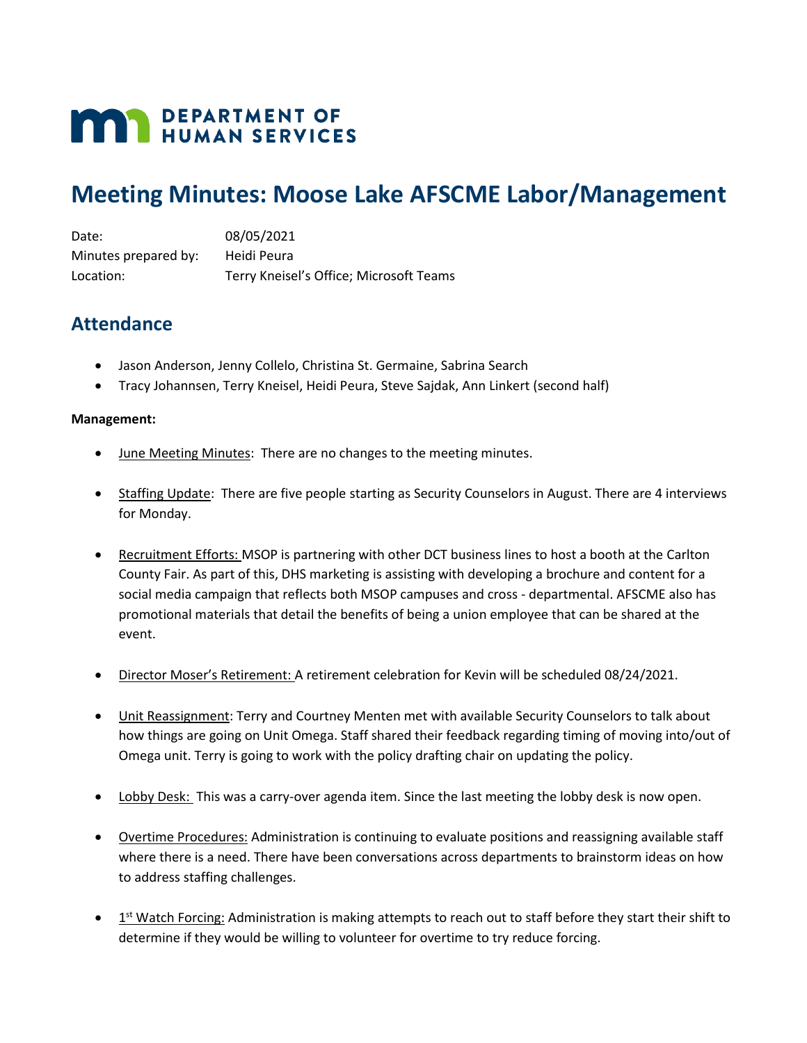# **MAY DEPARTMENT OF HUMAN SERVICES**

## **Meeting Minutes: Moose Lake AFSCME Labor/Management**

Date: 08/05/2021 Minutes prepared by: Heidi Peura Location: Terry Kneisel's Office; Microsoft Teams

## **Attendance**

- Jason Anderson, Jenny Collelo, Christina St. Germaine, Sabrina Search
- Tracy Johannsen, Terry Kneisel, Heidi Peura, Steve Sajdak, Ann Linkert (second half)

#### **Management:**

- June Meeting Minutes: There are no changes to the meeting minutes.
- Staffing Update: There are five people starting as Security Counselors in August. There are 4 interviews for Monday.
- Recruitment Efforts: MSOP is partnering with other DCT business lines to host a booth at the Carlton County Fair. As part of this, DHS marketing is assisting with developing a brochure and content for a social media campaign that reflects both MSOP campuses and cross - departmental. AFSCME also has promotional materials that detail the benefits of being a union employee that can be shared at the event.
- Director Moser's Retirement: A retirement celebration for Kevin will be scheduled 08/24/2021.
- Unit Reassignment: Terry and Courtney Menten met with available Security Counselors to talk about how things are going on Unit Omega. Staff shared their feedback regarding timing of moving into/out of Omega unit. Terry is going to work with the policy drafting chair on updating the policy.
- Lobby Desk: This was a carry-over agenda item. Since the last meeting the lobby desk is now open.
- Overtime Procedures: Administration is continuing to evaluate positions and reassigning available staff where there is a need. There have been conversations across departments to brainstorm ideas on how to address staffing challenges.
- $\bullet$  1<sup>st</sup> Watch Forcing: Administration is making attempts to reach out to staff before they start their shift to determine if they would be willing to volunteer for overtime to try reduce forcing.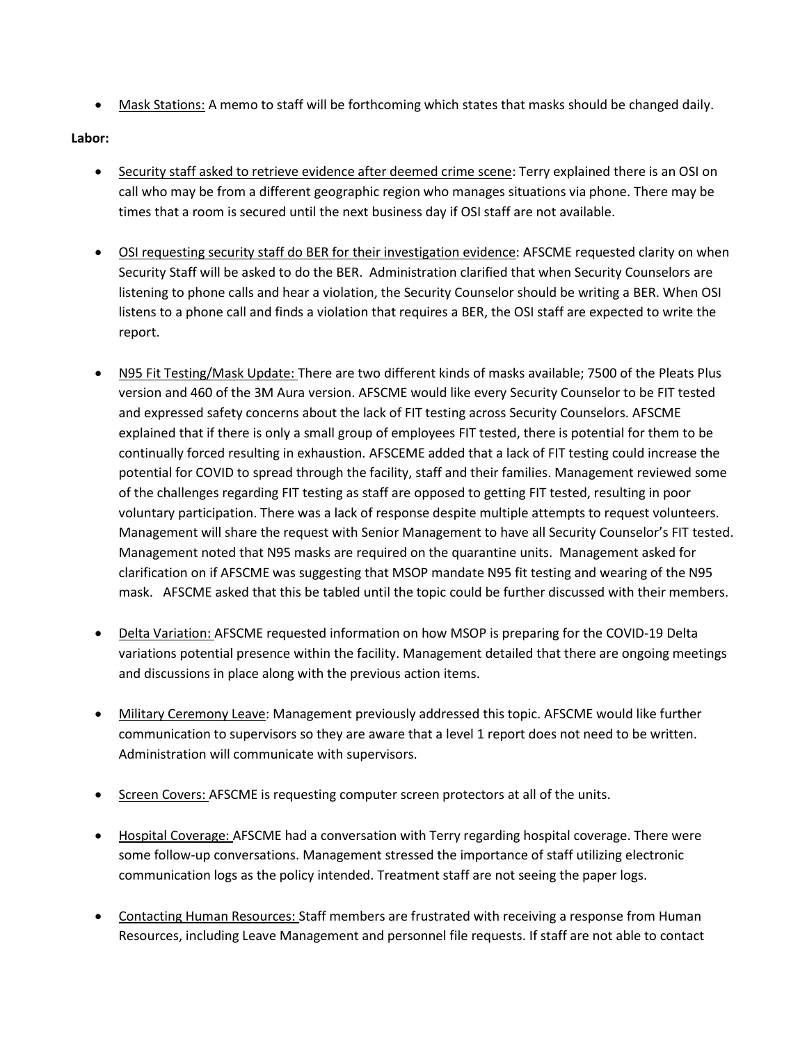• Mask Stations: A memo to staff will be forthcoming which states that masks should be changed daily.

### **Labor:**

- Security staff asked to retrieve evidence after deemed crime scene: Terry explained there is an OSI on call who may be from a different geographic region who manages situations via phone. There may be times that a room is secured until the next business day if OSI staff are not available.
- OSI requesting security staff do BER for their investigation evidence: AFSCME requested clarity on when Security Staff will be asked to do the BER. Administration clarified that when Security Counselors are listening to phone calls and hear a violation, the Security Counselor should be writing a BER. When OSI listens to a phone call and finds a violation that requires a BER, the OSI staff are expected to write the report.
- N95 Fit Testing/Mask Update: There are two different kinds of masks available; 7500 of the Pleats Plus version and 460 of the 3M Aura version. AFSCME would like every Security Counselor to be FIT tested and expressed safety concerns about the lack of FIT testing across Security Counselors. AFSCME explained that if there is only a small group of employees FIT tested, there is potential for them to be continually forced resulting in exhaustion. AFSCEME added that a lack of FIT testing could increase the potential for COVID to spread through the facility, staff and their families. Management reviewed some of the challenges regarding FIT testing as staff are opposed to getting FIT tested, resulting in poor voluntary participation. There was a lack of response despite multiple attempts to request volunteers. Management will share the request with Senior Management to have all Security Counselor's FIT tested. Management noted that N95 masks are required on the quarantine units. Management asked for clarification on if AFSCME was suggesting that MSOP mandate N95 fit testing and wearing of the N95 mask. AFSCME asked that this be tabled until the topic could be further discussed with their members.
- Delta Variation: AFSCME requested information on how MSOP is preparing for the COVID-19 Delta variations potential presence within the facility. Management detailed that there are ongoing meetings and discussions in place along with the previous action items.
- Military Ceremony Leave: Management previously addressed this topic. AFSCME would like further communication to supervisors so they are aware that a level 1 report does not need to be written. Administration will communicate with supervisors.
- Screen Covers: AFSCME is requesting computer screen protectors at all of the units.
- Hospital Coverage: AFSCME had a conversation with Terry regarding hospital coverage. There were some follow-up conversations. Management stressed the importance of staff utilizing electronic communication logs as the policy intended. Treatment staff are not seeing the paper logs.
- Contacting Human Resources: Staff members are frustrated with receiving a response from Human Resources, including Leave Management and personnel file requests. If staff are not able to contact